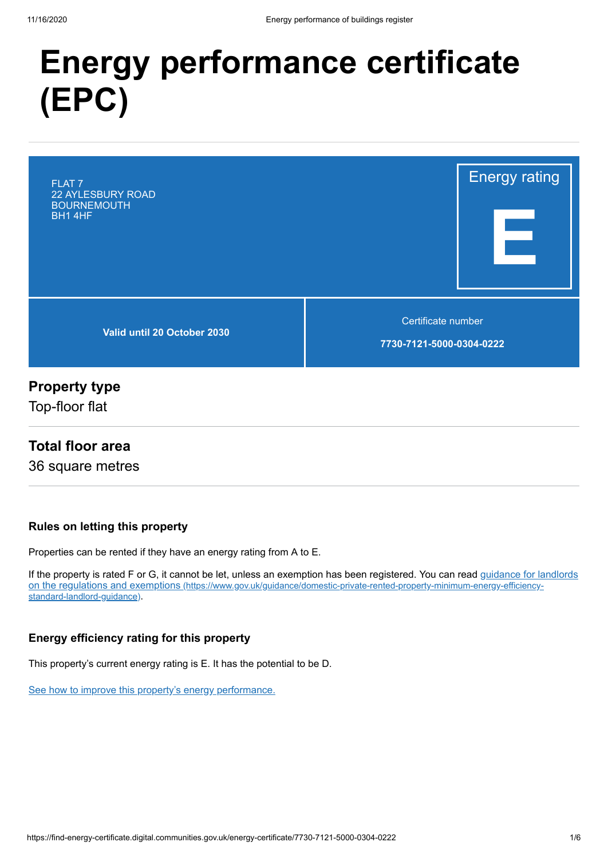# **Energy performance certificate (EPC)**



# **Property type**

Top-floor flat

### **Total floor area**

36 square metres

### **Rules on letting this property**

Properties can be rented if they have an energy rating from A to E.

[If the property is rated F or G, it cannot be let, unless an exemption has been registered. You can read guidance for landlords](https://www.gov.uk/guidance/domestic-private-rented-property-minimum-energy-efficiency-standard-landlord-guidance) on the regulations and exemptions (https://www.gov.uk/guidance/domestic-private-rented-property-minimum-energy-efficiencystandard-landlord-guidance).

### **Energy efficiency rating for this property**

This property's current energy rating is E. It has the potential to be D.

[See how to improve this property's energy performance.](#page-3-0)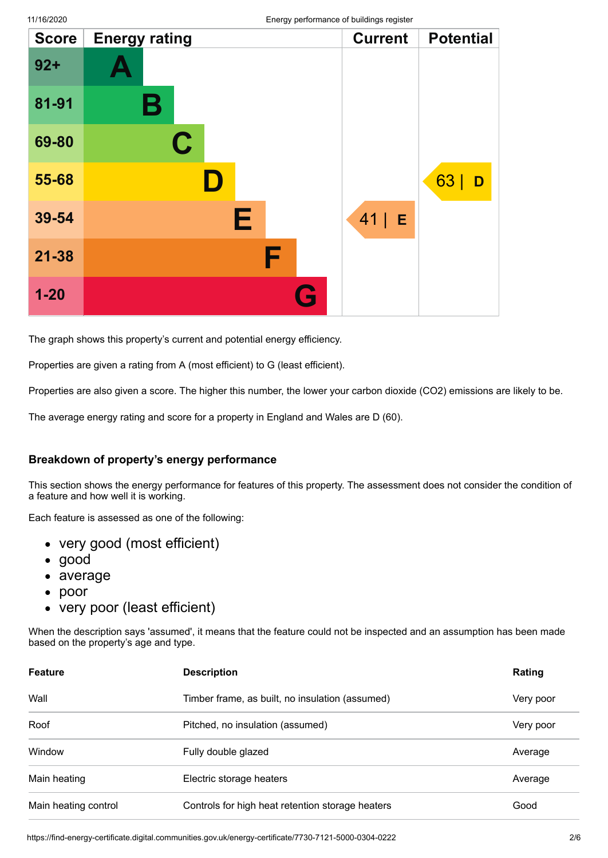|              |                      | ິ |                    |                  |
|--------------|----------------------|---|--------------------|------------------|
| <b>Score</b> | <b>Energy rating</b> |   | <b>Current</b>     | <b>Potential</b> |
| $92+$        |                      |   |                    |                  |
| 81-91        | Β                    |   |                    |                  |
| 69-80        | $\mathbf C$          |   |                    |                  |
| 55-68        |                      |   |                    | 63<br>D          |
| 39-54        | Е                    |   | 41 <br>$\mathsf E$ |                  |
| $21 - 38$    |                      | F |                    |                  |
| $1 - 20$     |                      | G |                    |                  |

The graph shows this property's current and potential energy efficiency.

Properties are given a rating from A (most efficient) to G (least efficient).

Properties are also given a score. The higher this number, the lower your carbon dioxide (CO2) emissions are likely to be.

The average energy rating and score for a property in England and Wales are D (60).

#### **Breakdown of property's energy performance**

This section shows the energy performance for features of this property. The assessment does not consider the condition of a feature and how well it is working.

Each feature is assessed as one of the following:

- very good (most efficient)
- good
- average
- $\bullet$ poor
- very poor (least efficient)

When the description says 'assumed', it means that the feature could not be inspected and an assumption has been made based on the property's age and type.

| <b>Feature</b>       | <b>Description</b>                               | Rating    |  |
|----------------------|--------------------------------------------------|-----------|--|
| Wall                 | Timber frame, as built, no insulation (assumed)  | Very poor |  |
| Roof                 | Pitched, no insulation (assumed)                 | Very poor |  |
| Window               | Fully double glazed                              | Average   |  |
| Main heating         | Electric storage heaters                         | Average   |  |
| Main heating control | Controls for high heat retention storage heaters | Good      |  |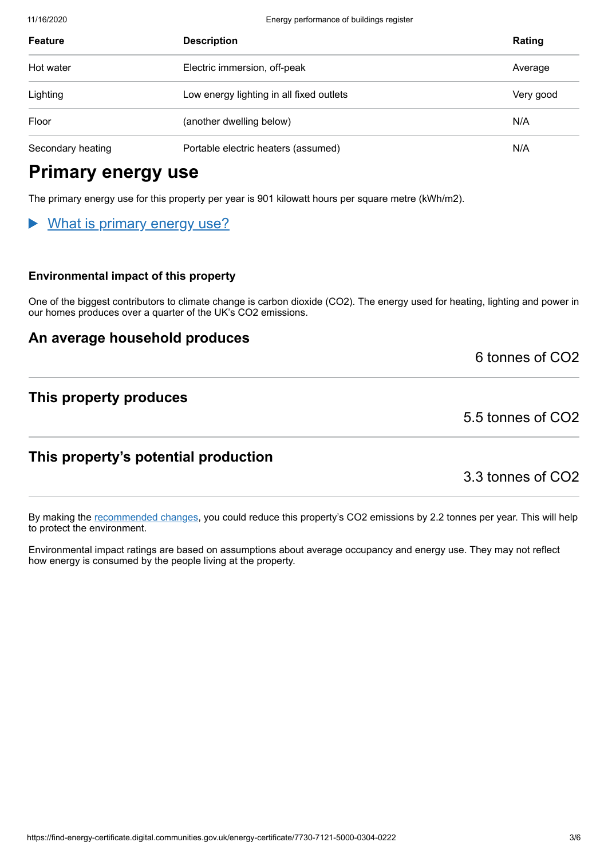11/16/2020 Energy performance of buildings register

| <b>Feature</b>    | <b>Description</b>                       | Rating    |
|-------------------|------------------------------------------|-----------|
| Hot water         | Electric immersion, off-peak             | Average   |
| Lighting          | Low energy lighting in all fixed outlets | Very good |
| Floor             | (another dwelling below)                 | N/A       |
| Secondary heating | Portable electric heaters (assumed)      | N/A       |

# **Primary energy use**

The primary energy use for this property per year is 901 kilowatt hours per square metre (kWh/m2).

### What is primary energy use?

#### **Environmental impact of this property**

One of the biggest contributors to climate change is carbon dioxide (CO2). The energy used for heating, lighting and power in our homes produces over a quarter of the UK's CO2 emissions.

### **An average household produces**

6 tonnes of CO2

### **This property produces**

5.5 tonnes of CO2

### **This property's potential production**

3.3 tonnes of CO2

By making the [recommended changes](#page-3-0), you could reduce this property's CO2 emissions by 2.2 tonnes per year. This will help to protect the environment.

Environmental impact ratings are based on assumptions about average occupancy and energy use. They may not reflect how energy is consumed by the people living at the property.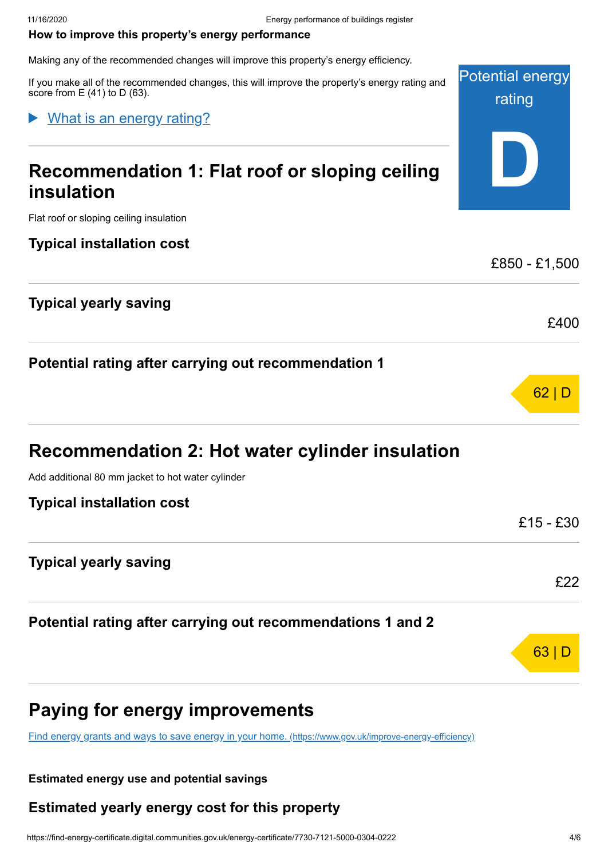Potential energy

rating

**D**

£850 - £1,500

£400

62 | D

63 I D

#### <span id="page-3-0"></span>**How to improve this property's energy performance**

Making any of the recommended changes will improve this property's energy efficiency.

If you make all of the recommended changes, this will improve the property's energy rating and score from  $E(41)$  to  $D(63)$ .

### What is an energy rating?

# **Recommendation 1: Flat roof or sloping ceiling insulation**

Flat roof or sloping ceiling insulation

#### **Typical installation cost**

### **Typical yearly saving**

## **Potential rating after carrying out recommendation 1**

| <b>Recommendation 2: Hot water cylinder insulation</b> |  |  |  |  |  |  |  |  |
|--------------------------------------------------------|--|--|--|--|--|--|--|--|
|--------------------------------------------------------|--|--|--|--|--|--|--|--|

Add additional 80 mm jacket to hot water cylinder

| <b>Typical installation cost</b>                            |           |
|-------------------------------------------------------------|-----------|
|                                                             | £15 - £30 |
| <b>Typical yearly saving</b>                                |           |
|                                                             | £22       |
| Potential rating after carrying out recommendations 1 and 2 |           |
|                                                             |           |

# **Paying for energy improvements**

[Find energy grants and ways to save energy in your home.](https://www.gov.uk/improve-energy-efficiency) (https://www.gov.uk/improve-energy-efficiency)

#### **Estimated energy use and potential savings**

### **Estimated yearly energy cost for this property**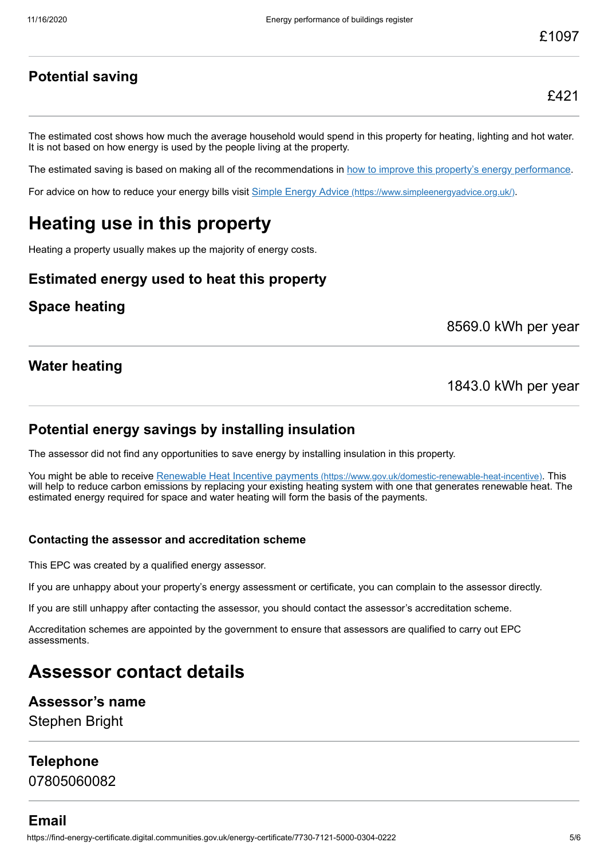## **Potential saving**

The estimated cost shows how much the average household would spend in this property for heating, lighting and hot water. It is not based on how energy is used by the people living at the property.

The estimated saving is based on making all of the recommendations in [how to improve this property's energy performance.](#page-3-0)

For advice on how to reduce your energy bills visit Simple Energy Advice [\(https://www.simpleenergyadvice.org.uk/\)](https://www.simpleenergyadvice.org.uk/).

# **Heating use in this property**

Heating a property usually makes up the majority of energy costs.

### **Estimated energy used to heat this property**

### **Space heating**

8569.0 kWh per year

### **Water heating**

1843.0 kWh per year

### **Potential energy savings by installing insulation**

The assessor did not find any opportunities to save energy by installing insulation in this property.

You might be able to receive Renewable Heat Incentive payments [\(https://www.gov.uk/domestic-renewable-heat-incentive\)](https://www.gov.uk/domestic-renewable-heat-incentive). This will help to reduce carbon emissions by replacing your existing heating system with one that generates renewable heat. The estimated energy required for space and water heating will form the basis of the payments.

#### **Contacting the assessor and accreditation scheme**

This EPC was created by a qualified energy assessor.

If you are unhappy about your property's energy assessment or certificate, you can complain to the assessor directly.

If you are still unhappy after contacting the assessor, you should contact the assessor's accreditation scheme.

Accreditation schemes are appointed by the government to ensure that assessors are qualified to carry out EPC assessments.

# **Assessor contact details**

#### **Assessor's name**

Stephen Bright

### **Telephone**

07805060082